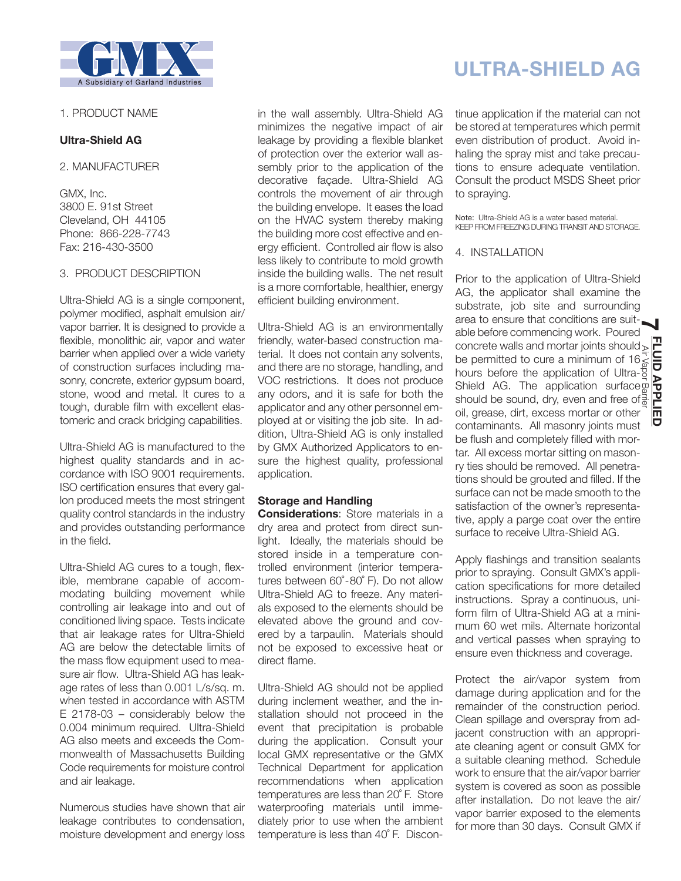

### 1. PRODUCT NAME

# **Ultra-Shield AG**

2. MANUFACTURER

GMX, Inc. 3800 E. 91st Street Cleveland, OH 44105 Phone: 866-228-7743 Fax: 216-430-3500

## 3. PRODUCT DESCRIPTION

Ultra-Shield AG is a single component, polymer modified, asphalt emulsion air/ vapor barrier. It is designed to provide a flexible, monolithic air, vapor and water barrier when applied over a wide variety of construction surfaces including masonry, concrete, exterior gypsum board, stone, wood and metal. It cures to a tough, durable film with excellent elastomeric and crack bridging capabilities.

Ultra-Shield AG is manufactured to the highest quality standards and in accordance with ISO 9001 requirements. ISO certification ensures that every gallon produced meets the most stringent quality control standards in the industry and provides outstanding performance in the field.

Ultra-Shield AG cures to a tough, flexible, membrane capable of accommodating building movement while controlling air leakage into and out of conditioned living space. Tests indicate that air leakage rates for Ultra-Shield AG are below the detectable limits of the mass flow equipment used to measure air flow. Ultra-Shield AG has leakage rates of less than 0.001 L/s/sq. m. when tested in accordance with ASTM E 2178-03 – considerably below the 0.004 minimum required. Ultra-Shield AG also meets and exceeds the Commonwealth of Massachusetts Building Code requirements for moisture control and air leakage.

Numerous studies have shown that air leakage contributes to condensation, moisture development and energy loss in the wall assembly. Ultra-Shield AG minimizes the negative impact of air leakage by providing a flexible blanket of protection over the exterior wall assembly prior to the application of the decorative façade. Ultra-Shield AG controls the movement of air through the building envelope. It eases the load on the HVAC system thereby making the building more cost effective and energy efficient. Controlled air flow is also less likely to contribute to mold growth inside the building walls. The net result is a more comfortable, healthier, energy efficient building environment.

Ultra-Shield AG is an environmentally friendly, water-based construction material. It does not contain any solvents, and there are no storage, handling, and VOC restrictions. It does not produce any odors, and it is safe for both the applicator and any other personnel employed at or visiting the job site. In addition, Ultra-Shield AG is only installed by GMX Authorized Applicators to ensure the highest quality, professional application.

# **Storage and Handling**

**Considerations**: Store materials in a dry area and protect from direct sunlight. Ideally, the materials should be stored inside in a temperature controlled environment (interior temperatures between 60°-80° F). Do not allow Ultra-Shield AG to freeze. Any materials exposed to the elements should be elevated above the ground and covered by a tarpaulin. Materials should not be exposed to excessive heat or direct flame.

Ultra-Shield AG should not be applied during inclement weather, and the installation should not proceed in the event that precipitation is probable during the application. Consult your local GMX representative or the GMX Technical Department for application recommendations when application temperatures are less than 20˚ F. Store waterproofing materials until immediately prior to use when the ambient temperature is less than 40˚ F. Discon-

# **ULTRA-SHIELD AG**

tinue application if the material can not be stored at temperatures which permit even distribution of product. Avoid inhaling the spray mist and take precautions to ensure adequate ventilation. Consult the product MSDS Sheet prior to spraying.

Note: Ultra-Shield AG is a water based material. KEEP FROM FREEZING DURING TRANSIT AND STORAGE.

## 4. INSTALLATION

Prior to the application of Ultra-Shield AG, the applicator shall examine the substrate, job site and surrounding area to ensure that conditions are suit-**7**able before commencing work. Poured concrete walls and mortar joints should; be permitted to cure a minimum of 16, hours before the application of Ultra-Shield AG. The application surface should be sound, dry, even and free of oil, grease, dirt, excess mortar or other Air Vapor Barrier **FLUID APPLIED** contaminants. All masonry joints must be flush and completely filled with mortar. All excess mortar sitting on masonry ties should be removed. All penetrations should be grouted and filled. If the surface can not be made smooth to the satisfaction of the owner's representative, apply a parge coat over the entire surface to receive Ultra-Shield AG.

Apply flashings and transition sealants prior to spraying. Consult GMX's application specifications for more detailed instructions. Spray a continuous, uniform film of Ultra-Shield AG at a minimum 60 wet mils. Alternate horizontal and vertical passes when spraying to ensure even thickness and coverage.

Protect the air/vapor system from damage during application and for the remainder of the construction period. Clean spillage and overspray from adjacent construction with an appropriate cleaning agent or consult GMX for a suitable cleaning method. Schedule work to ensure that the air/vapor barrier system is covered as soon as possible after installation. Do not leave the air/ vapor barrier exposed to the elements for more than 30 days. Consult GMX if